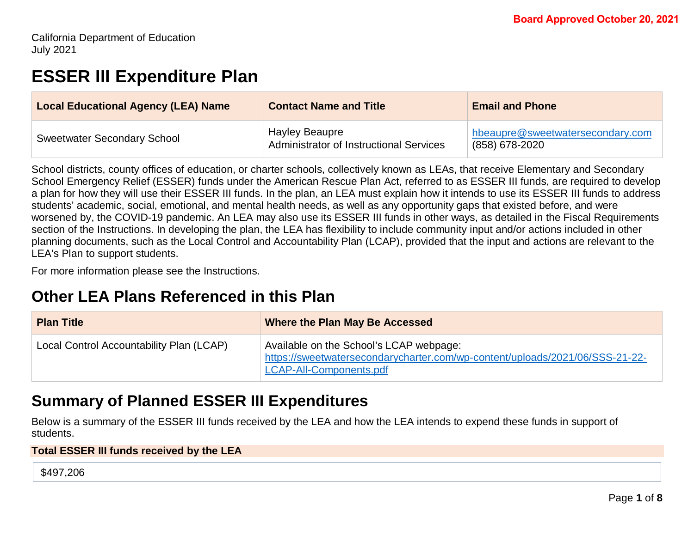# **ESSER III Expenditure Plan**

| <b>Local Educational Agency (LEA) Name</b> | <b>Contact Name and Title</b>                                    | <b>Email and Phone</b>                             |
|--------------------------------------------|------------------------------------------------------------------|----------------------------------------------------|
| <b>Sweetwater Secondary School</b>         | <b>Hayley Beaupre</b><br>Administrator of Instructional Services | hbeaupre@sweetwatersecondary.com<br>(858) 678-2020 |

School districts, county offices of education, or charter schools, collectively known as LEAs, that receive Elementary and Secondary School Emergency Relief (ESSER) funds under the American Rescue Plan Act, referred to as ESSER III funds, are required to develop a plan for how they will use their ESSER III funds. In the plan, an LEA must explain how it intends to use its ESSER III funds to address students' academic, social, emotional, and mental health needs, as well as any opportunity gaps that existed before, and were worsened by, the COVID-19 pandemic. An LEA may also use its ESSER III funds in other ways, as detailed in the Fiscal Requirements section of the Instructions. In developing the plan, the LEA has flexibility to include community input and/or actions included in other planning documents, such as the Local Control and Accountability Plan (LCAP), provided that the input and actions are relevant to the LEA's Plan to support students.

For more information please see the Instructions.

# **Other LEA Plans Referenced in this Plan**

| <b>Plan Title</b>                        | Where the Plan May Be Accessed                                                                                                                     |
|------------------------------------------|----------------------------------------------------------------------------------------------------------------------------------------------------|
| Local Control Accountability Plan (LCAP) | Available on the School's LCAP webpage:<br>https://sweetwatersecondarycharter.com/wp-content/uploads/2021/06/SSS-21-22-<br>LCAP-All-Components.pdf |

# **Summary of Planned ESSER III Expenditures**

Below is a summary of the ESSER III funds received by the LEA and how the LEA intends to expend these funds in support of students.

#### **Total ESSER III funds received by the LEA**

\$497,206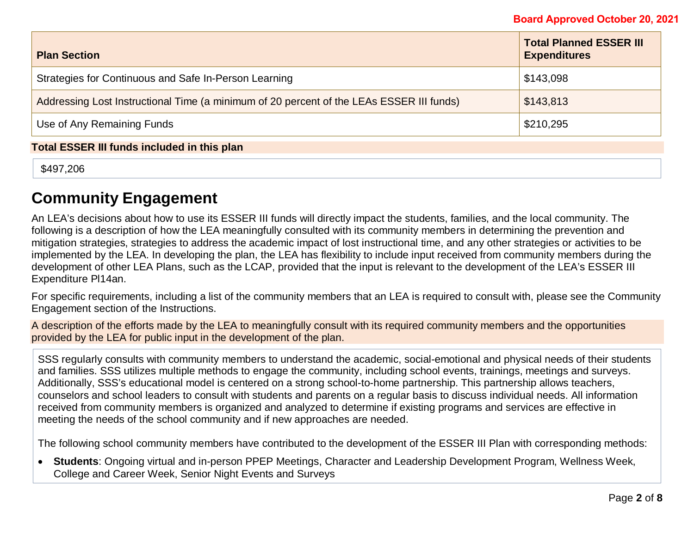| <b>Plan Section</b>                                                                      | <b>Total Planned ESSER III</b><br><b>Expenditures</b> |  |
|------------------------------------------------------------------------------------------|-------------------------------------------------------|--|
| Strategies for Continuous and Safe In-Person Learning                                    | \$143,098                                             |  |
| Addressing Lost Instructional Time (a minimum of 20 percent of the LEAs ESSER III funds) | \$143,813                                             |  |
| Use of Any Remaining Funds                                                               | \$210,295                                             |  |
| <b>Total ESSER III funds included in this plan</b>                                       |                                                       |  |

\$497,206

# **Community Engagement**

An LEA's decisions about how to use its ESSER III funds will directly impact the students, families, and the local community. The following is a description of how the LEA meaningfully consulted with its community members in determining the prevention and mitigation strategies, strategies to address the academic impact of lost instructional time, and any other strategies or activities to be implemented by the LEA. In developing the plan, the LEA has flexibility to include input received from community members during the development of other LEA Plans, such as the LCAP, provided that the input is relevant to the development of the LEA's ESSER III Expenditure Pl14an.

For specific requirements, including a list of the community members that an LEA is required to consult with, please see the Community Engagement section of the Instructions.

A description of the efforts made by the LEA to meaningfully consult with its required community members and the opportunities provided by the LEA for public input in the development of the plan.

SSS regularly consults with community members to understand the academic, social-emotional and physical needs of their students and families. SSS utilizes multiple methods to engage the community, including school events, trainings, meetings and surveys. Additionally, SSS's educational model is centered on a strong school-to-home partnership. This partnership allows teachers, counselors and school leaders to consult with students and parents on a regular basis to discuss individual needs. All information received from community members is organized and analyzed to determine if existing programs and services are effective in meeting the needs of the school community and if new approaches are needed.

The following school community members have contributed to the development of the ESSER III Plan with corresponding methods:

• **Students**: Ongoing virtual and in-person PPEP Meetings, Character and Leadership Development Program, Wellness Week, College and Career Week, Senior Night Events and Surveys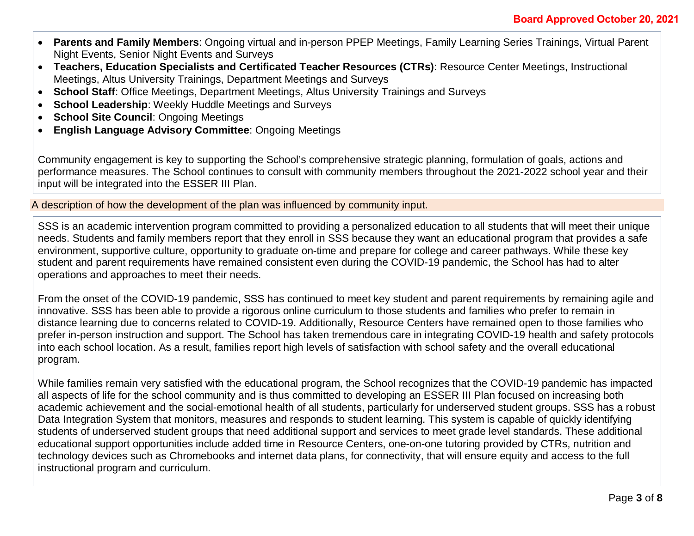- **Parents and Family Members**: Ongoing virtual and in-person PPEP Meetings, Family Learning Series Trainings, Virtual Parent Night Events, Senior Night Events and Surveys
- **Teachers, Education Specialists and Certificated Teacher Resources (CTRs)**: Resource Center Meetings, Instructional Meetings, Altus University Trainings, Department Meetings and Surveys
- **School Staff**: Office Meetings, Department Meetings, Altus University Trainings and Surveys
- **School Leadership:** Weekly Huddle Meetings and Surveys
- **School Site Council: Ongoing Meetings**
- **English Language Advisory Committee**: Ongoing Meetings

Community engagement is key to supporting the School's comprehensive strategic planning, formulation of goals, actions and performance measures. The School continues to consult with community members throughout the 2021-2022 school year and their input will be integrated into the ESSER III Plan.

A description of how the development of the plan was influenced by community input.

SSS is an academic intervention program committed to providing a personalized education to all students that will meet their unique needs. Students and family members report that they enroll in SSS because they want an educational program that provides a safe environment, supportive culture, opportunity to graduate on-time and prepare for college and career pathways. While these key student and parent requirements have remained consistent even during the COVID-19 pandemic, the School has had to alter operations and approaches to meet their needs.

From the onset of the COVID-19 pandemic, SSS has continued to meet key student and parent requirements by remaining agile and innovative. SSS has been able to provide a rigorous online curriculum to those students and families who prefer to remain in distance learning due to concerns related to COVID-19. Additionally, Resource Centers have remained open to those families who prefer in-person instruction and support. The School has taken tremendous care in integrating COVID-19 health and safety protocols into each school location. As a result, families report high levels of satisfaction with school safety and the overall educational program.

While families remain very satisfied with the educational program, the School recognizes that the COVID-19 pandemic has impacted all aspects of life for the school community and is thus committed to developing an ESSER III Plan focused on increasing both academic achievement and the social-emotional health of all students, particularly for underserved student groups. SSS has a robust Data Integration System that monitors, measures and responds to student learning. This system is capable of quickly identifying students of underserved student groups that need additional support and services to meet grade level standards. These additional educational support opportunities include added time in Resource Centers, one-on-one tutoring provided by CTRs, nutrition and technology devices such as Chromebooks and internet data plans, for connectivity, that will ensure equity and access to the full instructional program and curriculum.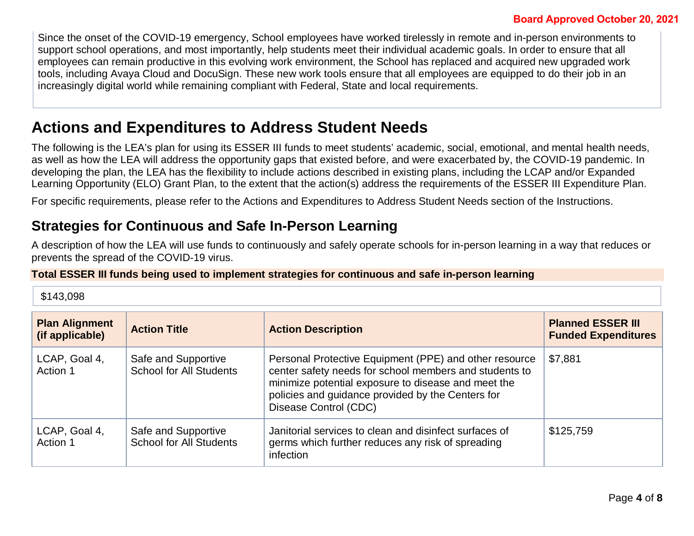Since the onset of the COVID-19 emergency, School employees have worked tirelessly in remote and in-person environments to support school operations, and most importantly, help students meet their individual academic goals. In order to ensure that all employees can remain productive in this evolving work environment, the School has replaced and acquired new upgraded work tools, including Avaya Cloud and DocuSign. These new work tools ensure that all employees are equipped to do their job in an increasingly digital world while remaining compliant with Federal, State and local requirements.

# **Actions and Expenditures to Address Student Needs**

The following is the LEA's plan for using its ESSER III funds to meet students' academic, social, emotional, and mental health needs, as well as how the LEA will address the opportunity gaps that existed before, and were exacerbated by, the COVID-19 pandemic. In developing the plan, the LEA has the flexibility to include actions described in existing plans, including the LCAP and/or Expanded Learning Opportunity (ELO) Grant Plan, to the extent that the action(s) address the requirements of the ESSER III Expenditure Plan.

For specific requirements, please refer to the Actions and Expenditures to Address Student Needs section of the Instructions.

### **Strategies for Continuous and Safe In-Person Learning**

A description of how the LEA will use funds to continuously and safely operate schools for in-person learning in a way that reduces or prevents the spread of the COVID-19 virus.

#### **Total ESSER III funds being used to implement strategies for continuous and safe in-person learning**

\$143,098

| <b>Plan Alignment</b><br>(if applicable) | <b>Action Title</b>                                   | <b>Action Description</b>                                                                                                                                                                                                                             | <b>Planned ESSER III</b><br><b>Funded Expenditures</b> |
|------------------------------------------|-------------------------------------------------------|-------------------------------------------------------------------------------------------------------------------------------------------------------------------------------------------------------------------------------------------------------|--------------------------------------------------------|
| LCAP, Goal 4,<br>Action 1                | Safe and Supportive<br><b>School for All Students</b> | Personal Protective Equipment (PPE) and other resource<br>center safety needs for school members and students to<br>minimize potential exposure to disease and meet the<br>policies and guidance provided by the Centers for<br>Disease Control (CDC) | \$7,881                                                |
| LCAP, Goal 4,<br>Action 1                | Safe and Supportive<br><b>School for All Students</b> | Janitorial services to clean and disinfect surfaces of<br>germs which further reduces any risk of spreading<br>infection                                                                                                                              | \$125,759                                              |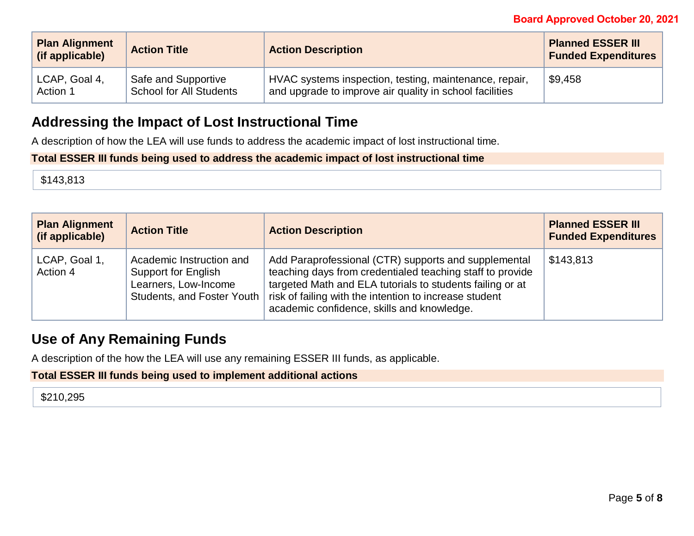#### **Board Approved October 20, 2021**

| <b>Plan Alignment</b><br>(if applicable) | <b>Action Title</b>     | <b>Action Description</b>                               | <b>Planned ESSER III</b><br><b>Funded Expenditures</b> |
|------------------------------------------|-------------------------|---------------------------------------------------------|--------------------------------------------------------|
| LCAP, Goal 4,                            | Safe and Supportive     | HVAC systems inspection, testing, maintenance, repair,  | \$9,458                                                |
| Action 1                                 | School for All Students | and upgrade to improve air quality in school facilities |                                                        |

### **Addressing the Impact of Lost Instructional Time**

A description of how the LEA will use funds to address the academic impact of lost instructional time.

#### **Total ESSER III funds being used to address the academic impact of lost instructional time**

\$143,813

| <b>Plan Alignment</b><br>(if applicable) | <b>Action Title</b>                                                     | <b>Action Description</b>                                                                                                                                                                                                                                                                                           | <b>Planned ESSER III</b><br><b>Funded Expenditures</b> |
|------------------------------------------|-------------------------------------------------------------------------|---------------------------------------------------------------------------------------------------------------------------------------------------------------------------------------------------------------------------------------------------------------------------------------------------------------------|--------------------------------------------------------|
| LCAP, Goal 1,<br>Action 4                | Academic Instruction and<br>Support for English<br>Learners, Low-Income | Add Paraprofessional (CTR) supports and supplemental<br>teaching days from credentialed teaching staff to provide<br>targeted Math and ELA tutorials to students failing or at<br>Students, and Foster Youth   risk of failing with the intention to increase student<br>academic confidence, skills and knowledge. | \$143,813                                              |

### **Use of Any Remaining Funds**

A description of the how the LEA will use any remaining ESSER III funds, as applicable.

#### **Total ESSER III funds being used to implement additional actions**

\$210,295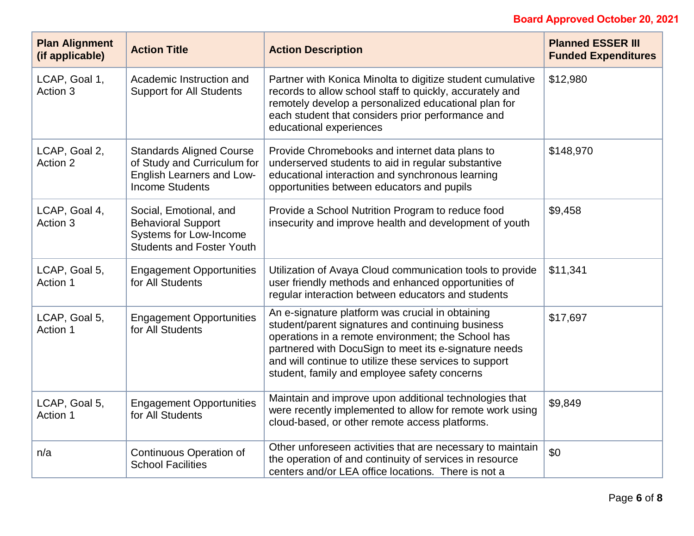### **Board Approved October 20, 2021**

| <b>Plan Alignment</b><br>(if applicable) | <b>Action Title</b>                                                                                                   | <b>Action Description</b>                                                                                                                                                                                                                                                                                                      | <b>Planned ESSER III</b><br><b>Funded Expenditures</b> |
|------------------------------------------|-----------------------------------------------------------------------------------------------------------------------|--------------------------------------------------------------------------------------------------------------------------------------------------------------------------------------------------------------------------------------------------------------------------------------------------------------------------------|--------------------------------------------------------|
| LCAP, Goal 1,<br>Action 3                | Academic Instruction and<br><b>Support for All Students</b>                                                           | Partner with Konica Minolta to digitize student cumulative<br>records to allow school staff to quickly, accurately and<br>remotely develop a personalized educational plan for<br>each student that considers prior performance and<br>educational experiences                                                                 | \$12,980                                               |
| LCAP, Goal 2,<br>Action 2                | <b>Standards Aligned Course</b><br>of Study and Curriculum for<br>English Learners and Low-<br><b>Income Students</b> | Provide Chromebooks and internet data plans to<br>underserved students to aid in regular substantive<br>educational interaction and synchronous learning<br>opportunities between educators and pupils                                                                                                                         | \$148,970                                              |
| LCAP, Goal 4,<br>Action 3                | Social, Emotional, and<br><b>Behavioral Support</b><br>Systems for Low-Income<br><b>Students and Foster Youth</b>     | Provide a School Nutrition Program to reduce food<br>insecurity and improve health and development of youth                                                                                                                                                                                                                    | \$9,458                                                |
| LCAP, Goal 5,<br>Action 1                | <b>Engagement Opportunities</b><br>for All Students                                                                   | Utilization of Avaya Cloud communication tools to provide<br>user friendly methods and enhanced opportunities of<br>regular interaction between educators and students                                                                                                                                                         | \$11,341                                               |
| LCAP, Goal 5,<br>Action 1                | <b>Engagement Opportunities</b><br>for All Students                                                                   | An e-signature platform was crucial in obtaining<br>student/parent signatures and continuing business<br>operations in a remote environment; the School has<br>partnered with DocuSign to meet its e-signature needs<br>and will continue to utilize these services to support<br>student, family and employee safety concerns | \$17,697                                               |
| LCAP, Goal 5,<br>Action 1                | <b>Engagement Opportunities</b><br>for All Students                                                                   | Maintain and improve upon additional technologies that<br>were recently implemented to allow for remote work using<br>cloud-based, or other remote access platforms.                                                                                                                                                           | \$9,849                                                |
| n/a                                      | <b>Continuous Operation of</b><br><b>School Facilities</b>                                                            | Other unforeseen activities that are necessary to maintain<br>the operation of and continuity of services in resource<br>centers and/or LEA office locations. There is not a                                                                                                                                                   | \$0                                                    |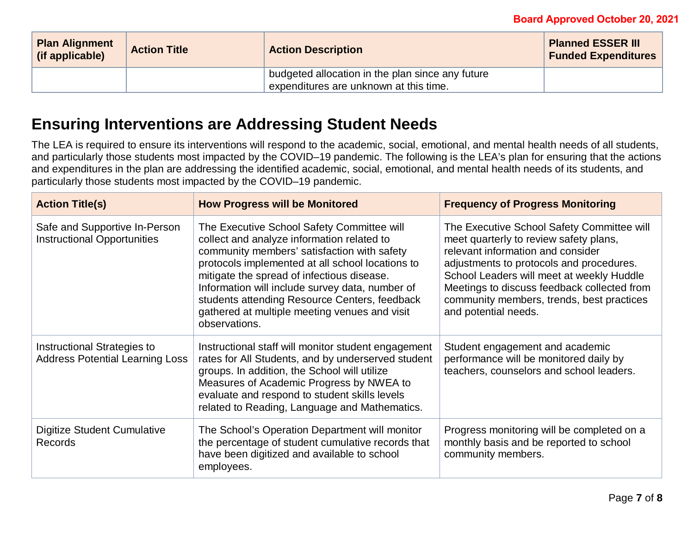| <b>Plan Alignment</b><br>(if applicable) | <b>Action Title</b> | <b>Action Description</b>                                                                  | <b>Planned ESSER III</b><br><b>Funded Expenditures</b> |
|------------------------------------------|---------------------|--------------------------------------------------------------------------------------------|--------------------------------------------------------|
|                                          |                     | budgeted allocation in the plan since any future<br>expenditures are unknown at this time. |                                                        |

# **Ensuring Interventions are Addressing Student Needs**

The LEA is required to ensure its interventions will respond to the academic, social, emotional, and mental health needs of all students, and particularly those students most impacted by the COVID–19 pandemic. The following is the LEA's plan for ensuring that the actions and expenditures in the plan are addressing the identified academic, social, emotional, and mental health needs of its students, and particularly those students most impacted by the COVID–19 pandemic.

| <b>Action Title(s)</b>                                                | <b>How Progress will be Monitored</b>                                                                                                                                                                                                                                                                                                                                                                           | <b>Frequency of Progress Monitoring</b>                                                                                                                                                                                                                                                                                                |
|-----------------------------------------------------------------------|-----------------------------------------------------------------------------------------------------------------------------------------------------------------------------------------------------------------------------------------------------------------------------------------------------------------------------------------------------------------------------------------------------------------|----------------------------------------------------------------------------------------------------------------------------------------------------------------------------------------------------------------------------------------------------------------------------------------------------------------------------------------|
| Safe and Supportive In-Person<br><b>Instructional Opportunities</b>   | The Executive School Safety Committee will<br>collect and analyze information related to<br>community members' satisfaction with safety<br>protocols implemented at all school locations to<br>mitigate the spread of infectious disease.<br>Information will include survey data, number of<br>students attending Resource Centers, feedback<br>gathered at multiple meeting venues and visit<br>observations. | The Executive School Safety Committee will<br>meet quarterly to review safety plans,<br>relevant information and consider<br>adjustments to protocols and procedures.<br>School Leaders will meet at weekly Huddle<br>Meetings to discuss feedback collected from<br>community members, trends, best practices<br>and potential needs. |
| Instructional Strategies to<br><b>Address Potential Learning Loss</b> | Instructional staff will monitor student engagement<br>rates for All Students, and by underserved student<br>groups. In addition, the School will utilize<br>Measures of Academic Progress by NWEA to<br>evaluate and respond to student skills levels<br>related to Reading, Language and Mathematics.                                                                                                         | Student engagement and academic<br>performance will be monitored daily by<br>teachers, counselors and school leaders.                                                                                                                                                                                                                  |
| Digitize Student Cumulative<br><b>Records</b>                         | The School's Operation Department will monitor<br>the percentage of student cumulative records that<br>have been digitized and available to school<br>employees.                                                                                                                                                                                                                                                | Progress monitoring will be completed on a<br>monthly basis and be reported to school<br>community members.                                                                                                                                                                                                                            |